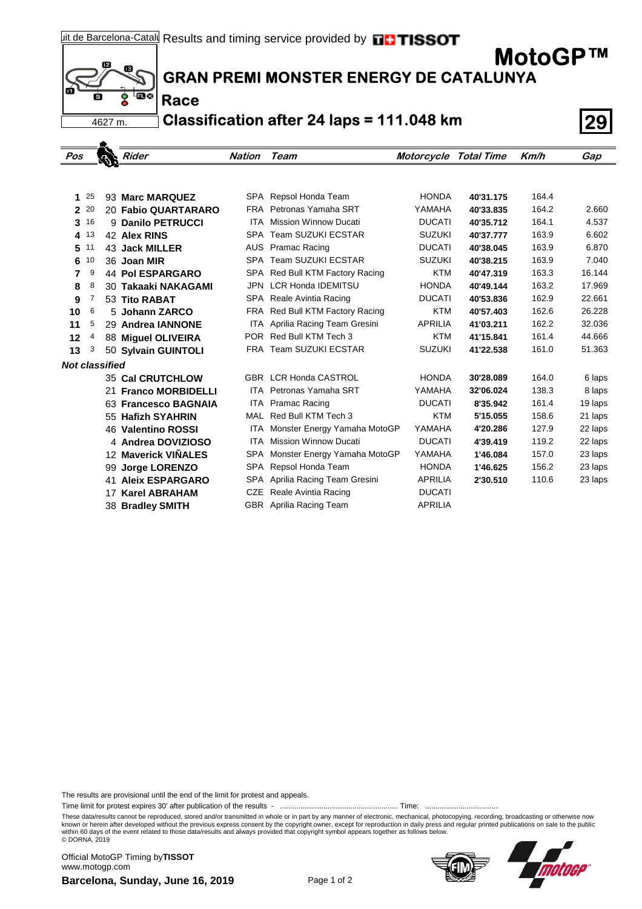$i2$ 13 **பால்** 4627 m.

**Race**

**GRAN PREMI MONSTER ENERGY DE CATALUNYA**

**Classification after 24 laps = 111.048 km 29**

| Pos          |    |                       | <b>Rider</b>            | <b>Nation Team</b> |                                 | Motorcycle Total Time |           | Km/h  | Gap     |
|--------------|----|-----------------------|-------------------------|--------------------|---------------------------------|-----------------------|-----------|-------|---------|
|              |    |                       |                         |                    |                                 |                       |           |       |         |
| 1            | 25 |                       | 93 Marc MARQUEZ         |                    | SPA Repsol Honda Team           | <b>HONDA</b>          | 40'31.175 | 164.4 |         |
| $\mathbf{2}$ | 20 |                       | 20 Fabio QUARTARARO     |                    | FRA Petronas Yamaha SRT         | YAMAHA                | 40'33.835 | 164.2 | 2.660   |
| 3            | 16 |                       | 9 Danilo PETRUCCI       | <b>ITA</b>         | <b>Mission Winnow Ducati</b>    | <b>DUCATI</b>         | 40'35.712 | 164.1 | 4.537   |
| 4            | 13 |                       | 42 Alex RINS            |                    | SPA Team SUZUKI ECSTAR          | <b>SUZUKI</b>         | 40'37.777 | 163.9 | 6.602   |
| 5            | 11 |                       | 43 Jack MILLER          |                    | AUS Pramac Racing               | <b>DUCATI</b>         | 40'38.045 | 163.9 | 6.870   |
| 6            | 10 |                       | 36 Joan MIR             |                    | SPA Team SUZUKI ECSTAR          | <b>SUZUKI</b>         | 40'38.215 | 163.9 | 7.040   |
| 7            | 9  |                       | <b>44 Pol ESPARGARO</b> |                    | SPA Red Bull KTM Factory Racing | <b>KTM</b>            | 40'47.319 | 163.3 | 16.144  |
| 8            | 8  |                       | 30 Takaaki NAKAGAMI     |                    | JPN LCR Honda IDEMITSU          | <b>HONDA</b>          | 40'49.144 | 163.2 | 17.969  |
| 9            | 7  |                       | 53 Tito RABAT           |                    | SPA Reale Avintia Racing        | <b>DUCATI</b>         | 40'53.836 | 162.9 | 22.661  |
| 10           | 6  |                       | 5 Johann ZARCO          |                    | FRA Red Bull KTM Factory Racing | <b>KTM</b>            | 40'57.403 | 162.6 | 26.228  |
| 11           | 5  |                       | 29 Andrea IANNONE       |                    | ITA Aprilia Racing Team Gresini | <b>APRILIA</b>        | 41'03.211 | 162.2 | 32.036  |
| 12           | 4  |                       | 88 Miguel OLIVEIRA      |                    | POR Red Bull KTM Tech 3         | <b>KTM</b>            | 41'15.841 | 161.4 | 44.666  |
| 13           | 3  |                       | 50 Sylvain GUINTOLI     |                    | FRA Team SUZUKI ECSTAR          | <b>SUZUKI</b>         | 41'22.538 | 161.0 | 51.363  |
|              |    | <b>Not classified</b> |                         |                    |                                 |                       |           |       |         |
|              |    |                       | <b>35 Cal CRUTCHLOW</b> |                    | <b>GBR LCR Honda CASTROL</b>    | <b>HONDA</b>          | 30'28.089 | 164.0 | 6 laps  |
|              |    |                       | 21 Franco MORBIDELLI    |                    | <b>ITA</b> Petronas Yamaha SRT  | YAMAHA                | 32'06.024 | 138.3 | 8 laps  |
|              |    |                       | 63 Francesco BAGNAIA    |                    | ITA Pramac Racing               | <b>DUCATI</b>         | 8'35.942  | 161.4 | 19 laps |
|              |    |                       | 55 Hafizh SYAHRIN       | MAL                | Red Bull KTM Tech 3             | <b>KTM</b>            | 5'15.055  | 158.6 | 21 laps |
|              |    |                       | 46 Valentino ROSSI      | ITA.               | Monster Energy Yamaha MotoGP    | YAMAHA                | 4'20.286  | 127.9 | 22 laps |
|              |    |                       | 4 Andrea DOVIZIOSO      | <b>ITA</b>         | <b>Mission Winnow Ducati</b>    | <b>DUCATI</b>         | 4'39.419  | 119.2 | 22 laps |
|              |    |                       | 12 Maverick VIÑALES     | SPA                | Monster Energy Yamaha MotoGP    | YAMAHA                | 1'46.084  | 157.0 | 23 laps |
|              |    | 99                    | <b>Jorge LORENZO</b>    |                    | SPA Repsol Honda Team           | <b>HONDA</b>          | 1'46.625  | 156.2 | 23 laps |
|              |    |                       | 41 Aleix ESPARGARO      |                    | SPA Aprilia Racing Team Gresini | <b>APRILIA</b>        | 2'30.510  | 110.6 | 23 laps |
|              |    |                       | 17 Karel ABRAHAM        |                    | CZE Reale Avintia Racing        | <b>DUCATI</b>         |           |       |         |
|              |    |                       | 38 Bradley SMITH        |                    | GBR Aprilia Racing Team         | <b>APRILIA</b>        |           |       |         |

The results are provisional until the end of the limit for protest and appeals.

Time limit for protest expires 30' after publication of the results - ......................................................... Time: ...................................

These data/results cannot be reproduced, stored and/or transmitted in whole or in part by any manner of electronic, mechanical, photocopying, recording, broadcasting or otherwise now<br>known or herein after developed without within 60 days of the event related to those data/results and always provided that copyright symbol appears together as follows below. © DORNA, 2019

**Barcelona, Sunday, June 16, 2019** Page 1 of 2 Official MotoGP Timing by **TISSOT**www.motogp.com





**MotoGP™**